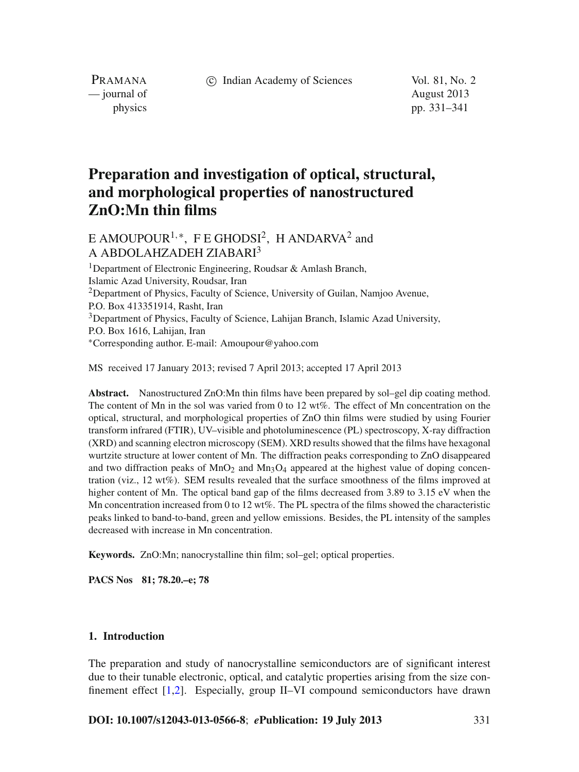c Indian Academy of Sciences Vol. 81, No. 2

PRAMANA — journal of August 2013

physics pp. 331–341

# **Preparation and investigation of optical, structural, and morphological properties of nanostructured ZnO:Mn thin films**

## E AMOUPOUR<sup>1,\*</sup>, F E GHODSI<sup>2</sup>, H ANDARVA<sup>2</sup> and A ABDOLAHZADEH ZIABARI3

<sup>1</sup>Department of Electronic Engineering, Roudsar & Amlash Branch, Islamic Azad University, Roudsar, Iran <sup>2</sup>Department of Physics, Faculty of Science, University of Guilan, Namjoo Avenue, P.O. Box 413351914, Rasht, Iran <sup>3</sup>Department of Physics, Faculty of Science, Lahijan Branch, Islamic Azad University, P.O. Box 1616, Lahijan, Iran <sup>∗</sup>Corresponding author. E-mail: Amoupour@yahoo.com

MS received 17 January 2013; revised 7 April 2013; accepted 17 April 2013

**Abstract.** Nanostructured ZnO:Mn thin films have been prepared by sol–gel dip coating method. The content of Mn in the sol was varied from 0 to 12 wt%. The effect of Mn concentration on the optical, structural, and morphological properties of ZnO thin films were studied by using Fourier transform infrared (FTIR), UV–visible and photoluminescence (PL) spectroscopy, X-ray diffraction (XRD) and scanning electron microscopy (SEM). XRD results showed that the films have hexagonal wurtzite structure at lower content of Mn. The diffraction peaks corresponding to ZnO disappeared and two diffraction peaks of  $MnO_2$  and  $Mn_3O_4$  appeared at the highest value of doping concentration (viz., 12 wt%). SEM results revealed that the surface smoothness of the films improved at higher content of Mn. The optical band gap of the films decreased from 3.89 to 3.15 eV when the Mn concentration increased from 0 to 12 wt%. The PL spectra of the films showed the characteristic peaks linked to band-to-band, green and yellow emissions. Besides, the PL intensity of the samples decreased with increase in Mn concentration.

**Keywords.** ZnO:Mn; nanocrystalline thin film; sol–gel; optical properties.

**PACS Nos 81; 78.20.–e; 78**

#### **1. Introduction**

The preparation and study of nanocrystalline semiconductors are of significant interest due to their tunable electronic, optical, and catalytic properties arising from the size confinement effect [\[1](#page-9-0)[,2\]](#page-9-1). Especially, group II–VI compound semiconductors have drawn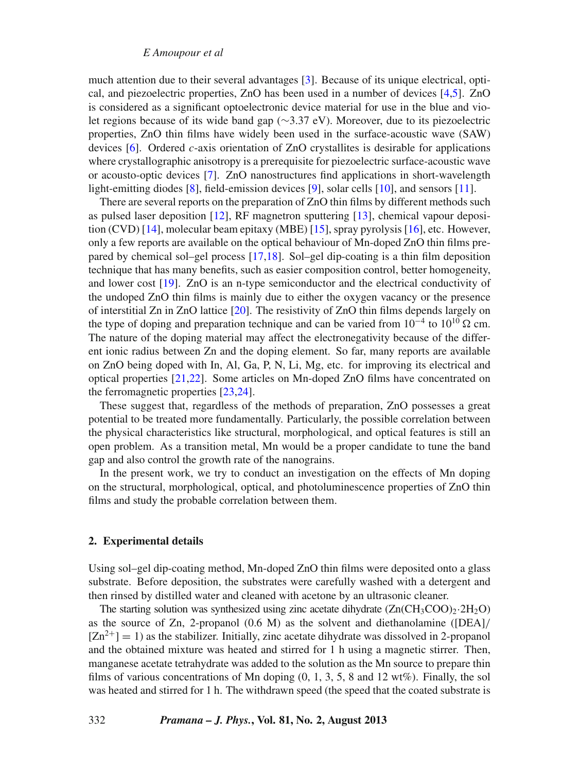*E Amoupour et al*

much attention due to their several advantages [\[3\]](#page-9-2). Because of its unique electrical, optical, and piezoelectric properties, ZnO has been used in a number of devices [\[4](#page-9-3)[,5\]](#page-9-4). ZnO is considered as a significant optoelectronic device material for use in the blue and violet regions because of its wide band gap (∼3.37 eV). Moreover, due to its piezoelectric properties, ZnO thin films have widely been used in the surface-acoustic wave (SAW) devices [\[6](#page-9-5)]. Ordered *c*-axis orientation of ZnO crystallites is desirable for applications where crystallographic anisotropy is a prerequisite for piezoelectric surface-acoustic wave or acousto-optic devices [\[7\]](#page-9-6). ZnO nanostructures find applications in short-wavelength light-emitting diodes [\[8](#page-9-7)], field-emission devices [\[9\]](#page-9-8), solar cells [\[10\]](#page-9-9), and sensors [\[11](#page-9-10)].

There are several reports on the preparation of ZnO thin films by different methods such as pulsed laser deposition [\[12](#page-9-11)], RF magnetron sputtering [\[13](#page-9-12)], chemical vapour deposition (CVD) [\[14](#page-9-13)], molecular beam epitaxy (MBE) [\[15](#page-9-14)], spray pyrolysis [\[16](#page-9-15)], etc. However, only a few reports are available on the optical behaviour of Mn-doped ZnO thin films prepared by chemical sol–gel process [\[17](#page-9-16)[,18\]](#page-9-17). Sol–gel dip-coating is a thin film deposition technique that has many benefits, such as easier composition control, better homogeneity, and lower cost [\[19\]](#page-9-18). ZnO is an n-type semiconductor and the electrical conductivity of the undoped ZnO thin films is mainly due to either the oxygen vacancy or the presence of interstitial Zn in ZnO lattice [\[20](#page-9-19)]. The resistivity of ZnO thin films depends largely on the type of doping and preparation technique and can be varied from  $10^{-4}$  to  $10^{10}$   $\Omega$  cm. The nature of the doping material may affect the electronegativity because of the different ionic radius between Zn and the doping element. So far, many reports are available on ZnO being doped with In, Al, Ga, P, N, Li, Mg, etc. for improving its electrical and optical properties [\[21](#page-9-20)[,22\]](#page-9-21). Some articles on Mn-doped ZnO films have concentrated on the ferromagnetic properties [\[23](#page-9-22)[,24](#page-9-23)].

These suggest that, regardless of the methods of preparation, ZnO possesses a great potential to be treated more fundamentally. Particularly, the possible correlation between the physical characteristics like structural, morphological, and optical features is still an open problem. As a transition metal, Mn would be a proper candidate to tune the band gap and also control the growth rate of the nanograins.

In the present work, we try to conduct an investigation on the effects of Mn doping on the structural, morphological, optical, and photoluminescence properties of ZnO thin films and study the probable correlation between them.

#### **2. Experimental details**

Using sol–gel dip-coating method, Mn-doped ZnO thin films were deposited onto a glass substrate. Before deposition, the substrates were carefully washed with a detergent and then rinsed by distilled water and cleaned with acetone by an ultrasonic cleaner.

The starting solution was synthesized using zinc acetate dihydrate  $(Zn(CH_3COO)_2.2H_2O)$ as the source of Zn, 2-propanol (0.6 M) as the solvent and diethanolamine ([DEA]/  $[Zn^{2+}] = 1$ ) as the stabilizer. Initially, zinc acetate dihydrate was dissolved in 2-propanol and the obtained mixture was heated and stirred for 1 h using a magnetic stirrer. Then, manganese acetate tetrahydrate was added to the solution as the Mn source to prepare thin films of various concentrations of Mn doping (0, 1, 3, 5, 8 and 12 wt%). Finally, the sol was heated and stirred for 1 h. The withdrawn speed (the speed that the coated substrate is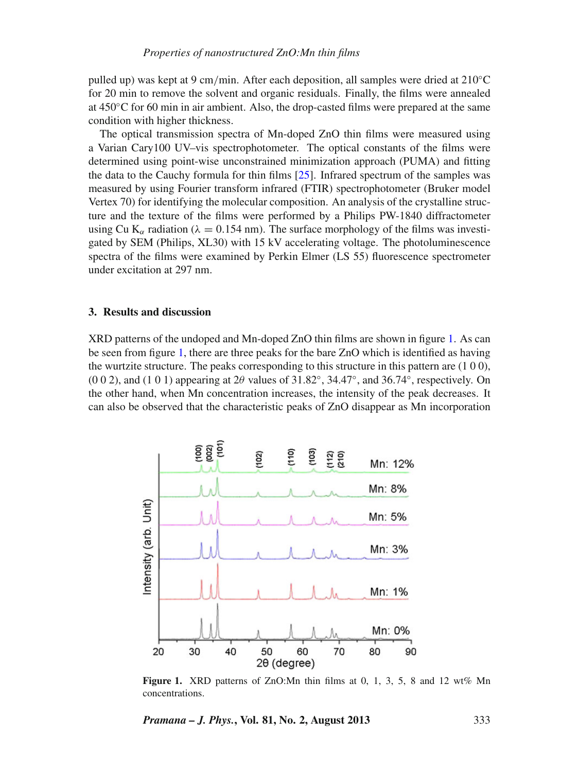pulled up) was kept at 9 cm/min. After each deposition, all samples were dried at 210◦C for 20 min to remove the solvent and organic residuals. Finally, the films were annealed at 450◦C for 60 min in air ambient. Also, the drop-casted films were prepared at the same condition with higher thickness.

The optical transmission spectra of Mn-doped ZnO thin films were measured using a Varian Cary100 UV–vis spectrophotometer. The optical constants of the films were determined using point-wise unconstrained minimization approach (PUMA) and fitting the data to the Cauchy formula for thin films [\[25\]](#page-9-24). Infrared spectrum of the samples was measured by using Fourier transform infrared (FTIR) spectrophotometer (Bruker model Vertex 70) for identifying the molecular composition. An analysis of the crystalline structure and the texture of the films were performed by a Philips PW-1840 diffractometer using Cu K<sub>α</sub> radiation ( $\lambda = 0.154$  nm). The surface morphology of the films was investigated by SEM (Philips, XL30) with 15 kV accelerating voltage. The photoluminescence spectra of the films were examined by Perkin Elmer (LS 55) fluorescence spectrometer under excitation at 297 nm.

#### **3. Results and discussion**

XRD patterns of the undoped and Mn-doped ZnO thin films are shown in figure [1.](#page-2-0) As can be seen from figure [1,](#page-2-0) there are three peaks for the bare ZnO which is identified as having the wurtzite structure. The peaks corresponding to this structure in this pattern are  $(1 0 0)$ , (0 0 2), and (1 0 1) appearing at  $2\theta$  values of  $31.82^\circ$ ,  $34.47^\circ$ , and  $36.74^\circ$ , respectively. On the other hand, when Mn concentration increases, the intensity of the peak decreases. It can also be observed that the characteristic peaks of ZnO disappear as Mn incorporation

<span id="page-2-0"></span>

**Figure 1.** XRD patterns of ZnO:Mn thin films at 0, 1, 3, 5, 8 and 12 wt% Mn concentrations.

*Pramana – J. Phys.***, Vol. 81, No. 2, August 2013** 333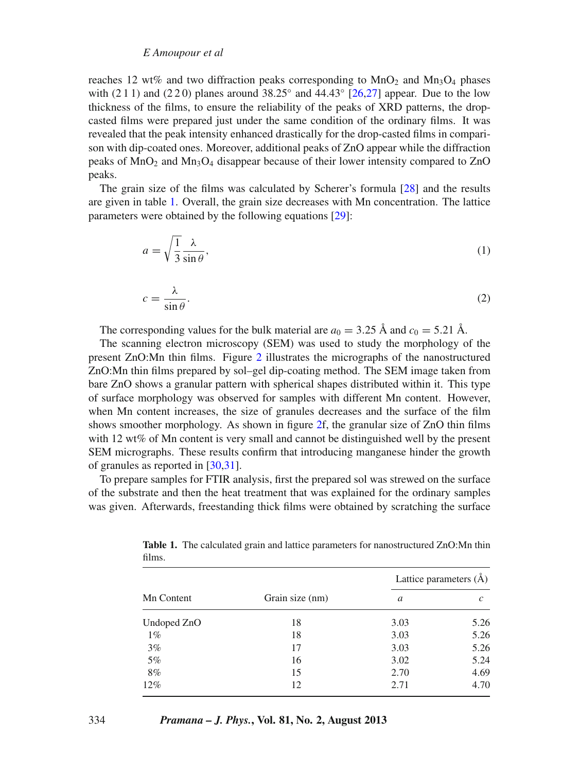#### *E Amoupour et al*

reaches 12 wt% and two diffraction peaks corresponding to  $MnO<sub>2</sub>$  and  $Mn<sub>3</sub>O<sub>4</sub>$  phases with (2 1 1) and (2 2 0) planes around  $38.25^\circ$  and  $44.43^\circ$  [\[26](#page-9-25)[,27\]](#page-9-26) appear. Due to the low thickness of the films, to ensure the reliability of the peaks of XRD patterns, the dropcasted films were prepared just under the same condition of the ordinary films. It was revealed that the peak intensity enhanced drastically for the drop-casted films in comparison with dip-coated ones. Moreover, additional peaks of ZnO appear while the diffraction peaks of  $MnO<sub>2</sub>$  and  $Mn<sub>3</sub>O<sub>4</sub>$  disappear because of their lower intensity compared to ZnO peaks.

The grain size of the films was calculated by Scherer's formula [\[28\]](#page-9-27) and the results are given in table [1.](#page-3-0) Overall, the grain size decreases with Mn concentration. The lattice parameters were obtained by the following equations [\[29\]](#page-9-28):

$$
a = \sqrt{\frac{1}{3} \frac{\lambda}{\sin \theta}},\tag{1}
$$

$$
c = \frac{\lambda}{\sin \theta}.\tag{2}
$$

The corresponding values for the bulk material are  $a_0 = 3.25 \text{ Å}$  and  $c_0 = 5.21 \text{ Å}$ .

The scanning electron microscopy (SEM) was used to study the morphology of the present ZnO:Mn thin films. Figure [2](#page-4-0) illustrates the micrographs of the nanostructured ZnO:Mn thin films prepared by sol–gel dip-coating method. The SEM image taken from bare ZnO shows a granular pattern with spherical shapes distributed within it. This type of surface morphology was observed for samples with different Mn content. However, when Mn content increases, the size of granules decreases and the surface of the film shows smoother morphology. As shown in figure [2f](#page-4-0), the granular size of ZnO thin films with 12 wt% of Mn content is very small and cannot be distinguished well by the present SEM micrographs. These results confirm that introducing manganese hinder the growth of granules as reported in [\[30](#page-9-29)[,31](#page-9-30)].

To prepare samples for FTIR analysis, first the prepared sol was strewed on the surface of the substrate and then the heat treatment that was explained for the ordinary samples was given. Afterwards, freestanding thick films were obtained by scratching the surface

| Mn Content  | Grain size (nm) | Lattice parameters $(\AA)$ |               |
|-------------|-----------------|----------------------------|---------------|
|             |                 | a                          | $\mathcal{C}$ |
| Undoped ZnO | 18              | 3.03                       | 5.26          |
| $1\%$       | 18              | 3.03                       | 5.26          |
| $3\%$       | 17              | 3.03                       | 5.26          |
| 5%          | 16              | 3.02                       | 5.24          |
| 8%          | 15              | 2.70                       | 4.69          |
| $12\%$      | 12              | 2.71                       | 4.70          |
|             |                 |                            |               |

<span id="page-3-0"></span>**Table 1.** The calculated grain and lattice parameters for nanostructured ZnO:Mn thin films.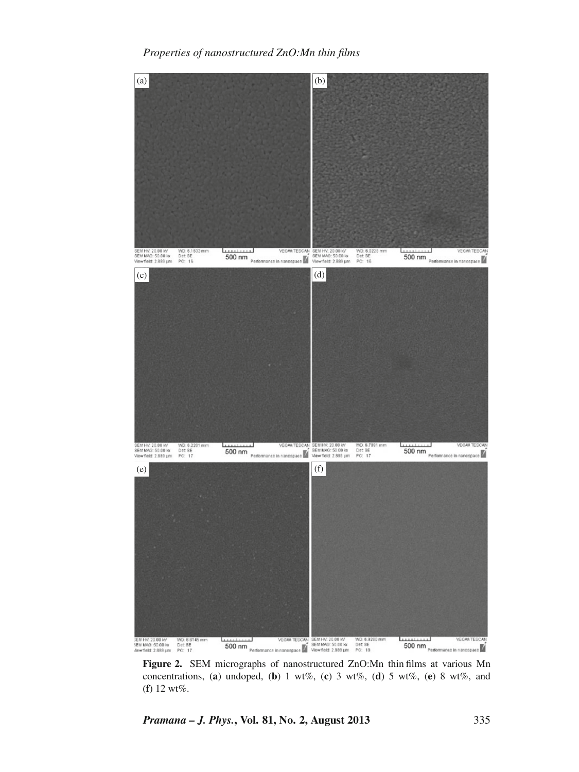<span id="page-4-0"></span>

**Figure 2.** SEM micrographs of nanostructured ZnO:Mn thin films at various Mn concentrations, (a) undoped, (b) 1 wt%, (c) 3 wt%, (d) 5 wt%, (e) 8 wt%, and (**f**) 12 wt%.

*Pramana – J. Phys.***, Vol. 81, No. 2, August 2013** 335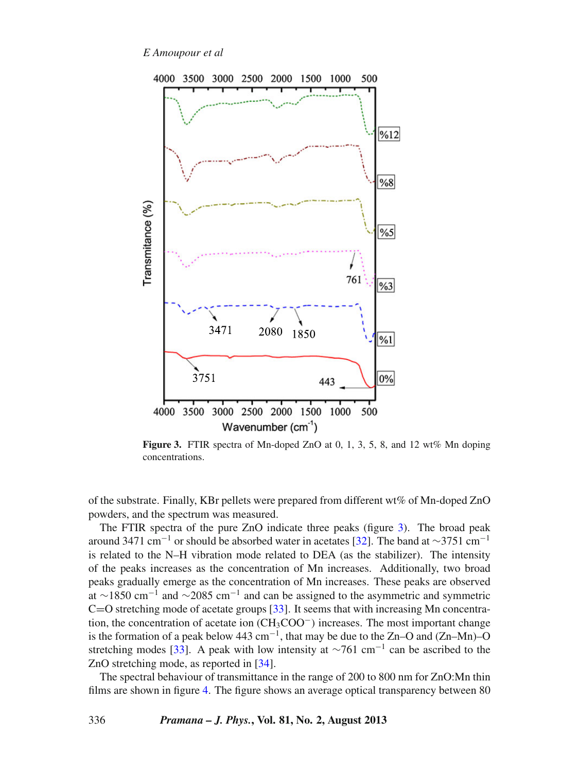*E Amoupour et al*

<span id="page-5-0"></span>

**Figure 3.** FTIR spectra of Mn-doped ZnO at 0, 1, 3, 5, 8, and 12 wt% Mn doping concentrations.

of the substrate. Finally, KBr pellets were prepared from different wt% of Mn-doped ZnO powders, and the spectrum was measured.

The FTIR spectra of the pure ZnO indicate three peaks (figure [3\)](#page-5-0). The broad peak around 3471 cm<sup>-1</sup> or should be absorbed water in acetates [\[32\]](#page-9-31). The band at ∼3751 cm<sup>-1</sup> is related to the N–H vibration mode related to DEA (as the stabilizer). The intensity of the peaks increases as the concentration of Mn increases. Additionally, two broad peaks gradually emerge as the concentration of Mn increases. These peaks are observed at ∼1850 cm<sup>-1</sup> and ∼2085 cm<sup>-1</sup> and can be assigned to the asymmetric and symmetric  $C=O$  stretching mode of acetate groups [\[33](#page-9-32)]. It seems that with increasing Mn concentration, the concentration of acetate ion (CH3COO<sup>−</sup>) increases. The most important change is the formation of a peak below 443 cm<sup>-1</sup>, that may be due to the Zn–O and (Zn–Mn)–O stretching modes [\[33\]](#page-9-32). A peak with low intensity at  $\sim$ 761 cm<sup>-1</sup> can be ascribed to the ZnO stretching mode, as reported in [\[34\]](#page-9-33).

The spectral behaviour of transmittance in the range of 200 to 800 nm for ZnO:Mn thin films are shown in figure [4.](#page-6-0) The figure shows an average optical transparency between 80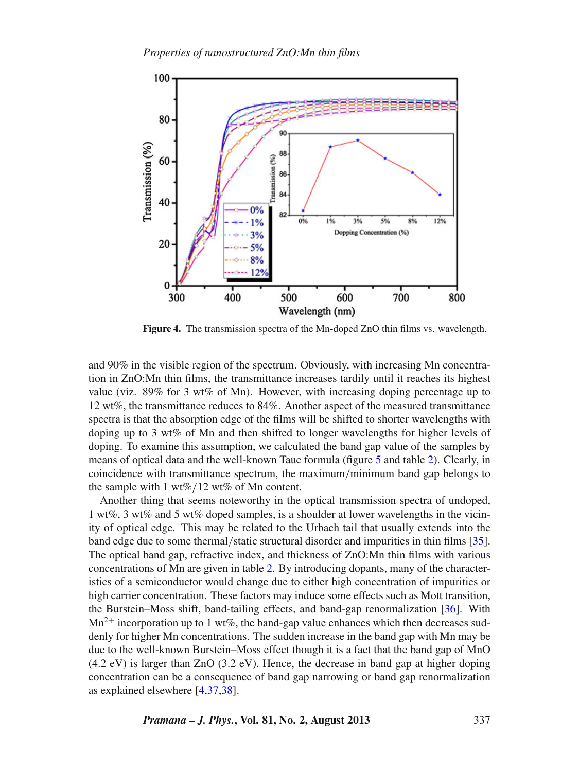<span id="page-6-0"></span>

**Figure 4.** The transmission spectra of the Mn-doped ZnO thin films vs. wavelength.

and 90% in the visible region of the spectrum. Obviously, with increasing Mn concentration in ZnO:Mn thin films, the transmittance increases tardily until it reaches its highest value (viz. 89% for 3 wt% of Mn). However, with increasing doping percentage up to 12 wt%, the transmittance reduces to 84%. Another aspect of the measured transmittance spectra is that the absorption edge of the films will be shifted to shorter wavelengths with doping up to 3 wt% of Mn and then shifted to longer wavelengths for higher levels of doping. To examine this assumption, we calculated the band gap value of the samples by means of optical data and the well-known Tauc formula (figure [5](#page-7-0) and table [2\)](#page-7-1). Clearly, in coincidence with transmittance spectrum, the maximum/minimum band gap belongs to the sample with 1 wt%/12 wt% of Mn content.

Another thing that seems noteworthy in the optical transmission spectra of undoped, 1 wt%, 3 wt% and 5 wt% doped samples, is a shoulder at lower wavelengths in the vicinity of optical edge. This may be related to the Urbach tail that usually extends into the band edge due to some thermal/static structural disorder and impurities in thin films [\[35](#page-9-34)]. The optical band gap, refractive index, and thickness of ZnO:Mn thin films with various concentrations of Mn are given in table [2.](#page-7-1) By introducing dopants, many of the characteristics of a semiconductor would change due to either high concentration of impurities or high carrier concentration. These factors may induce some effects such as Mott transition, the Burstein–Moss shift, band-tailing effects, and band-gap renormalization [\[36\]](#page-9-35). With  $Mn^{2+}$  incorporation up to 1 wt%, the band-gap value enhances which then decreases suddenly for higher Mn concentrations. The sudden increase in the band gap with Mn may be due to the well-known Burstein–Moss effect though it is a fact that the band gap of MnO (4.2 eV) is larger than ZnO (3.2 eV). Hence, the decrease in band gap at higher doping concentration can be a consequence of band gap narrowing or band gap renormalization as explained elsewhere [\[4](#page-9-3)[,37](#page-9-36)[,38](#page-9-37)].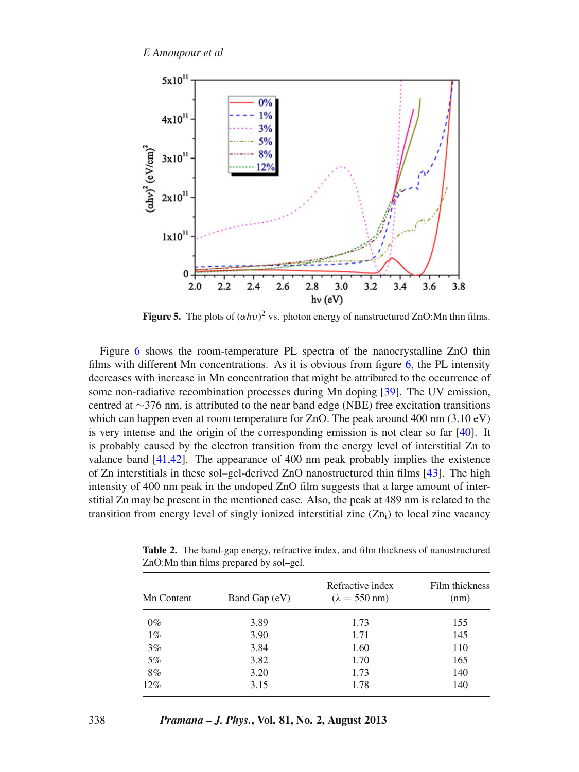<span id="page-7-0"></span>

**Figure 5.** The plots of  $(\alpha h \nu)^2$  vs. photon energy of nanstructured ZnO:Mn thin films.

Figure [6](#page-8-0) shows the room-temperature PL spectra of the nanocrystalline ZnO thin films with different Mn concentrations. As it is obvious from figure [6,](#page-8-0) the PL intensity decreases with increase in Mn concentration that might be attributed to the occurrence of some non-radiative recombination processes during Mn doping [\[39\]](#page-10-0). The UV emission, centred at ∼376 nm, is attributed to the near band edge (NBE) free excitation transitions which can happen even at room temperature for ZnO. The peak around 400 nm (3.10 eV) is very intense and the origin of the corresponding emission is not clear so far  $[40]$ . It is probably caused by the electron transition from the energy level of interstitial Zn to valance band [\[41](#page-10-2)[,42](#page-10-3)]. The appearance of 400 nm peak probably implies the existence of Zn interstitials in these sol–gel-derived ZnO nanostructured thin films [\[43](#page-10-4)]. The high intensity of 400 nm peak in the undoped ZnO film suggests that a large amount of interstitial Zn may be present in the mentioned case. Also, the peak at 489 nm is related to the transition from energy level of singly ionized interstitial zinc  $(Zn_i)$  to local zinc vacancy

| Mn Content | Band Gap (eV) | Refractive index<br>$(\lambda = 550$ nm) | Film thickness<br>(nm) |
|------------|---------------|------------------------------------------|------------------------|
| $0\%$      | 3.89          | 1.73                                     | 155                    |
| $1\%$      | 3.90          | 1.71                                     | 145                    |
| 3%         | 3.84          | 1.60                                     | 110                    |
| 5%         | 3.82          | 1.70                                     | 165                    |
| 8%         | 3.20          | 1.73                                     | 140                    |
| 12%        | 3.15          | 1.78                                     | 140                    |

<span id="page-7-1"></span>**Table 2.** The band-gap energy, refractive index, and film thickness of nanostructured ZnO:Mn thin films prepared by sol–gel.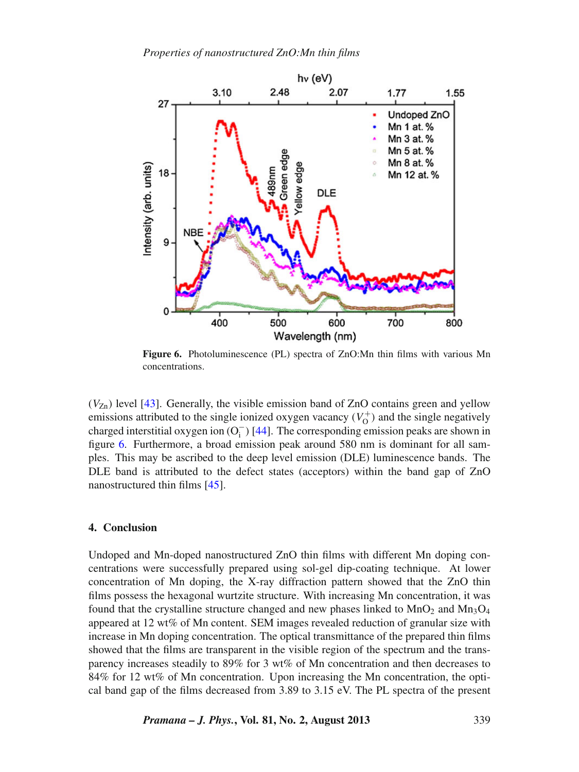<span id="page-8-0"></span>

**Figure 6.** Photoluminescence (PL) spectra of ZnO:Mn thin films with various Mn concentrations.

 $(V_{\rm Zn})$  level [\[43](#page-10-4)]. Generally, the visible emission band of ZnO contains green and yellow emissions attributed to the single ionized oxygen vacancy  $(V_0^+)$  and the single negatively charged interstitial oxygen ion  $(O_i^-)$  [\[44](#page-10-5)]. The corresponding emission peaks are shown in figure [6.](#page-8-0) Furthermore, a broad emission peak around 580 nm is dominant for all samples. This may be ascribed to the deep level emission (DLE) luminescence bands. The DLE band is attributed to the defect states (acceptors) within the band gap of ZnO nanostructured thin films [\[45](#page-10-6)].

#### **4. Conclusion**

Undoped and Mn-doped nanostructured ZnO thin films with different Mn doping concentrations were successfully prepared using sol-gel dip-coating technique. At lower concentration of Mn doping, the X-ray diffraction pattern showed that the ZnO thin films possess the hexagonal wurtzite structure. With increasing Mn concentration, it was found that the crystalline structure changed and new phases linked to  $MnO<sub>2</sub>$  and  $Mn<sub>3</sub>O<sub>4</sub>$ appeared at 12 wt% of Mn content. SEM images revealed reduction of granular size with increase in Mn doping concentration. The optical transmittance of the prepared thin films showed that the films are transparent in the visible region of the spectrum and the transparency increases steadily to 89% for 3 wt% of Mn concentration and then decreases to 84% for 12 wt% of Mn concentration. Upon increasing the Mn concentration, the optical band gap of the films decreased from 3.89 to 3.15 eV. The PL spectra of the present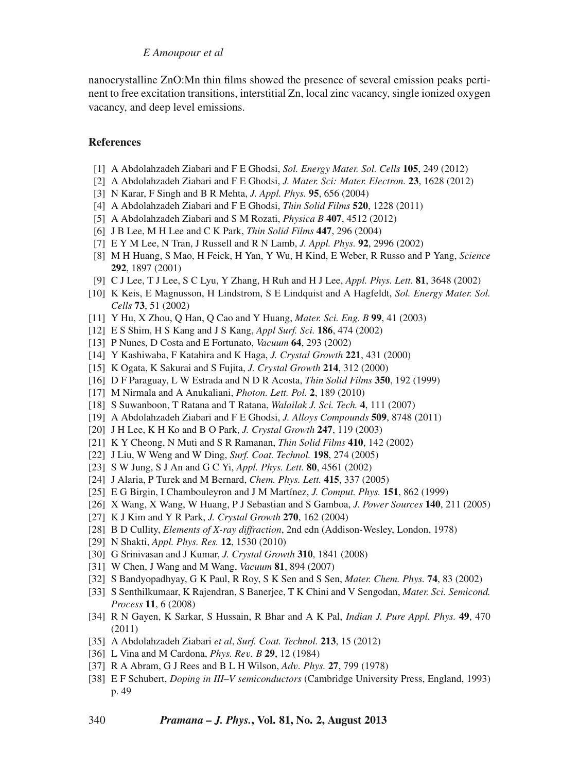*E Amoupour et al*

nanocrystalline ZnO:Mn thin films showed the presence of several emission peaks pertinent to free excitation transitions, interstitial Zn, local zinc vacancy, single ionized oxygen vacancy, and deep level emissions.

### **References**

- <span id="page-9-0"></span>[1] A Abdolahzadeh Ziabari and F E Ghodsi, *Sol. Energy Mater. Sol. Cells* **105**, 249 (2012)
- <span id="page-9-1"></span>[2] A Abdolahzadeh Ziabari and F E Ghodsi, *J. Mater. Sci: Mater. Electron.* **23**, 1628 (2012)
- <span id="page-9-2"></span>[3] N Karar, F Singh and B R Mehta, *J. Appl. Phys.* **95**, 656 (2004)
- <span id="page-9-3"></span>[4] A Abdolahzadeh Ziabari and F E Ghodsi, *Thin Solid Films* **520**, 1228 (2011)
- <span id="page-9-4"></span>[5] A Abdolahzadeh Ziabari and S M Rozati, *Physica B* **407**, 4512 (2012)
- <span id="page-9-5"></span>[6] J B Lee, M H Lee and C K Park, *Thin Solid Films* **447**, 296 (2004)
- <span id="page-9-6"></span>[7] E Y M Lee, N Tran, J Russell and R N Lamb, *J. Appl. Phys.* **92**, 2996 (2002)
- <span id="page-9-7"></span>[8] M H Huang, S Mao, H Feick, H Yan, Y Wu, H Kind, E Weber, R Russo and P Yang, *Science* **292**, 1897 (2001)
- <span id="page-9-8"></span>[9] C J Lee, T J Lee, S C Lyu, Y Zhang, H Ruh and H J Lee, *Appl. Phys. Lett.* **81**, 3648 (2002)
- <span id="page-9-9"></span>[10] K Keis, E Magnusson, H Lindstrom, S E Lindquist and A Hagfeldt, *Sol. Energy Mater. Sol. Cells* **73**, 51 (2002)
- <span id="page-9-10"></span>[11] Y Hu, X Zhou, Q Han, Q Cao and Y Huang, *Mater. Sci. Eng. B* **99**, 41 (2003)
- <span id="page-9-11"></span>[12] E S Shim, H S Kang and J S Kang, *Appl Surf. Sci.* **186**, 474 (2002)
- <span id="page-9-12"></span>[13] P Nunes, D Costa and E Fortunato, *Vacuum* **64**, 293 (2002)
- <span id="page-9-13"></span>[14] Y Kashiwaba, F Katahira and K Haga, *J. Crystal Growth* **221**, 431 (2000)
- <span id="page-9-14"></span>[15] K Ogata, K Sakurai and S Fujita, *J. Crystal Growth* **214**, 312 (2000)
- <span id="page-9-15"></span>[16] D F Paraguay, L W Estrada and N D R Acosta, *Thin Solid Films* **350**, 192 (1999)
- <span id="page-9-16"></span>[17] M Nirmala and A Anukaliani, *Photon. Lett. Pol.* **2**, 189 (2010)
- <span id="page-9-17"></span>[18] S Suwanboon, T Ratana and T Ratana, *Walailak J. Sci. Tech.* **4**, 111 (2007)
- <span id="page-9-18"></span>[19] A Abdolahzadeh Ziabari and F E Ghodsi, *J. Alloys Compounds* **509**, 8748 (2011)
- <span id="page-9-19"></span>[20] J H Lee, K H Ko and B O Park, *J. Crystal Growth* **247**, 119 (2003)
- <span id="page-9-20"></span>[21] K Y Cheong, N Muti and S R Ramanan, *Thin Solid Films* **410**, 142 (2002)
- <span id="page-9-21"></span>[22] J Liu, W Weng and W Ding, *Surf. Coat. Technol.* **198**, 274 (2005)
- <span id="page-9-22"></span>[23] S W Jung, S J An and G C Yi, *Appl. Phys. Lett.* **80**, 4561 (2002)
- <span id="page-9-23"></span>[24] J Alaria, P Turek and M Bernard, *Chem. Phys. Lett.* **415**, 337 (2005)
- <span id="page-9-24"></span>[25] E G Birgin, I Chambouleyron and J M Martínez, *J. Comput. Phys.* **151**, 862 (1999)
- <span id="page-9-25"></span>[26] X Wang, X Wang, W Huang, P J Sebastian and S Gamboa, *J. Power Sources* **140**, 211 (2005)
- <span id="page-9-26"></span>[27] K J Kim and Y R Park, *J. Crystal Growth* **270**, 162 (2004)
- <span id="page-9-27"></span>[28] B D Cullity, *Elements of X-ray diffraction*, 2nd edn (Addison-Wesley, London, 1978)
- <span id="page-9-28"></span>[29] N Shakti, *Appl. Phys. Res.* **12**, 1530 (2010)
- <span id="page-9-29"></span>[30] G Srinivasan and J Kumar, *J. Crystal Growth* **310**, 1841 (2008)
- <span id="page-9-30"></span>[31] W Chen, J Wang and M Wang, *Vacuum* **81**, 894 (2007)
- <span id="page-9-31"></span>[32] S Bandyopadhyay, G K Paul, R Roy, S K Sen and S Sen, *Mater. Chem. Phys.* **74**, 83 (2002)
- <span id="page-9-32"></span>[33] S Senthilkumaar, K Rajendran, S Banerjee, T K Chini and V Sengodan, *Mater. Sci. Semicond. Process* **11**, 6 (2008)
- <span id="page-9-33"></span>[34] R N Gayen, K Sarkar, S Hussain, R Bhar and A K Pal, *Indian J. Pure Appl. Phys.* **49**, 470 (2011)
- <span id="page-9-34"></span>[35] A Abdolahzadeh Ziabari *et al*, *Surf. Coat. Technol.* **213**, 15 (2012)
- <span id="page-9-35"></span>[36] L Vina and M Cardona, *Phys. Re*v*. B* **29**, 12 (1984)
- <span id="page-9-36"></span>[37] R A Abram, G J Rees and B L H Wilson, *Ad*v*. Phys.* **27**, 799 (1978)
- <span id="page-9-37"></span>[38] E F Schubert, *Doping in III–V semiconductors* (Cambridge University Press, England, 1993) p. 49